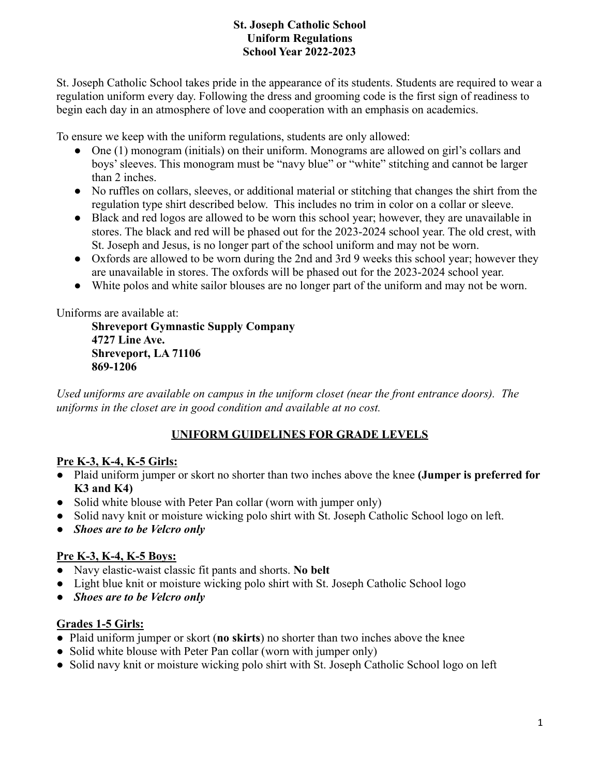### **St. Joseph Catholic School Uniform Regulations School Year 2022-2023**

St. Joseph Catholic School takes pride in the appearance of its students. Students are required to wear a regulation uniform every day. Following the dress and grooming code is the first sign of readiness to begin each day in an atmosphere of love and cooperation with an emphasis on academics.

To ensure we keep with the uniform regulations, students are only allowed:

- One (1) monogram (initials) on their uniform. Monograms are allowed on girl's collars and boys' sleeves. This monogram must be "navy blue" or "white" stitching and cannot be larger than 2 inches.
- No ruffles on collars, sleeves, or additional material or stitching that changes the shirt from the regulation type shirt described below. This includes no trim in color on a collar or sleeve.
- Black and red logos are allowed to be worn this school year; however, they are unavailable in stores. The black and red will be phased out for the 2023-2024 school year. The old crest, with St. Joseph and Jesus, is no longer part of the school uniform and may not be worn.
- Oxfords are allowed to be worn during the 2nd and 3rd 9 weeks this school year; however they are unavailable in stores. The oxfords will be phased out for the 2023-2024 school year.
- White polos and white sailor blouses are no longer part of the uniform and may not be worn.

Uniforms are available at:

**Shreveport Gymnastic Supply Company 4727 Line Ave. Shreveport, LA 71106 869-1206**

*Used uniforms are available on campus in the uniform closet (near the front entrance doors). The uniforms in the closet are in good condition and available at no cost.*

# **UNIFORM GUIDELINES FOR GRADE LEVELS**

#### **Pre K-3, K-4, K-5 Girls:**

- Plaid uniform jumper or skort no shorter than two inches above the knee **(Jumper is preferred for K3 and K4)**
- Solid white blouse with Peter Pan collar (worn with jumper only)
- Solid navy knit or moisture wicking polo shirt with St. Joseph Catholic School logo on left.
- *● Shoes are to be Velcro only*

# **Pre K-3, K-4, K-5 Boys:**

- Navy elastic-waist classic fit pants and shorts. **No belt**
- Light blue knit or moisture wicking polo shirt with St. Joseph Catholic School logo
- *Shoes are to be Velcro only*

# **Grades 1-5 Girls:**

- Plaid uniform jumper or skort (**no skirts**) no shorter than two inches above the knee
- Solid white blouse with Peter Pan collar (worn with jumper only)
- Solid navy knit or moisture wicking polo shirt with St. Joseph Catholic School logo on left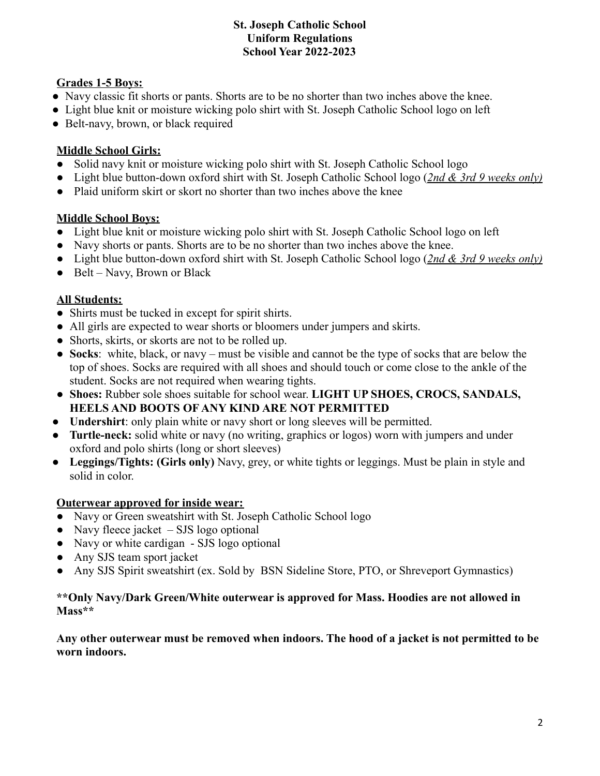#### **St. Joseph Catholic School Uniform Regulations School Year 2022-2023**

### **Grades 1-5 Boys:**

- Navy classic fit shorts or pants. Shorts are to be no shorter than two inches above the knee.
- Light blue knit or moisture wicking polo shirt with St. Joseph Catholic School logo on left
- Belt-navy, brown, or black required

# **Middle School Girls:**

- Solid navy knit or moisture wicking polo shirt with St. Joseph Catholic School logo
- **●** Light blue button-down oxford shirt with St. Joseph Catholic School logo (*2nd & 3rd 9 weeks only)*
- **●** Plaid uniform skirt or skort no shorter than two inches above the knee

### **Middle School Boys:**

- Light blue knit or moisture wicking polo shirt with St. Joseph Catholic School logo on left
- Navy shorts or pants. Shorts are to be no shorter than two inches above the knee.
- Light blue button-down oxford shirt with St. Joseph Catholic School logo (*2nd & 3rd 9 weeks only)*
- **●** Belt Navy, Brown or Black

# **All Students:**

- Shirts must be tucked in except for spirit shirts.
- All girls are expected to wear shorts or bloomers under jumpers and skirts.
- Shorts, skirts, or skorts are not to be rolled up.
- **Socks**: white, black, or navy must be visible and cannot be the type of socks that are below the top of shoes. Socks are required with all shoes and should touch or come close to the ankle of the student. Socks are not required when wearing tights.
- **Shoes:** Rubber sole shoes suitable for school wear. **LIGHT UP SHOES, CROCS, SANDALS, HEELS AND BOOTS OF ANY KIND ARE NOT PERMITTED**
- **Undershirt**: only plain white or navy short or long sleeves will be permitted.
- **Turtle-neck:** solid white or navy (no writing, graphics or logos) worn with jumpers and under oxford and polo shirts (long or short sleeves)
- **Leggings/Tights: (Girls only)** Navy, grey, or white tights or leggings. Must be plain in style and solid in color.

# **Outerwear approved for inside wear:**

- Navy or Green sweatshirt with St. Joseph Catholic School logo
- Navy fleece jacket  $-$  SJS logo optional
- Navy or white cardigan SJS logo optional
- Any SJS team sport jacket
- Any SJS Spirit sweatshirt (ex. Sold by BSN Sideline Store, PTO, or Shreveport Gymnastics)

#### **\*\*Only Navy/Dark Green/White outerwear is approved for Mass. Hoodies are not allowed in Mass\*\***

**Any other outerwear must be removed when indoors. The hood of a jacket is not permitted to be worn indoors.**